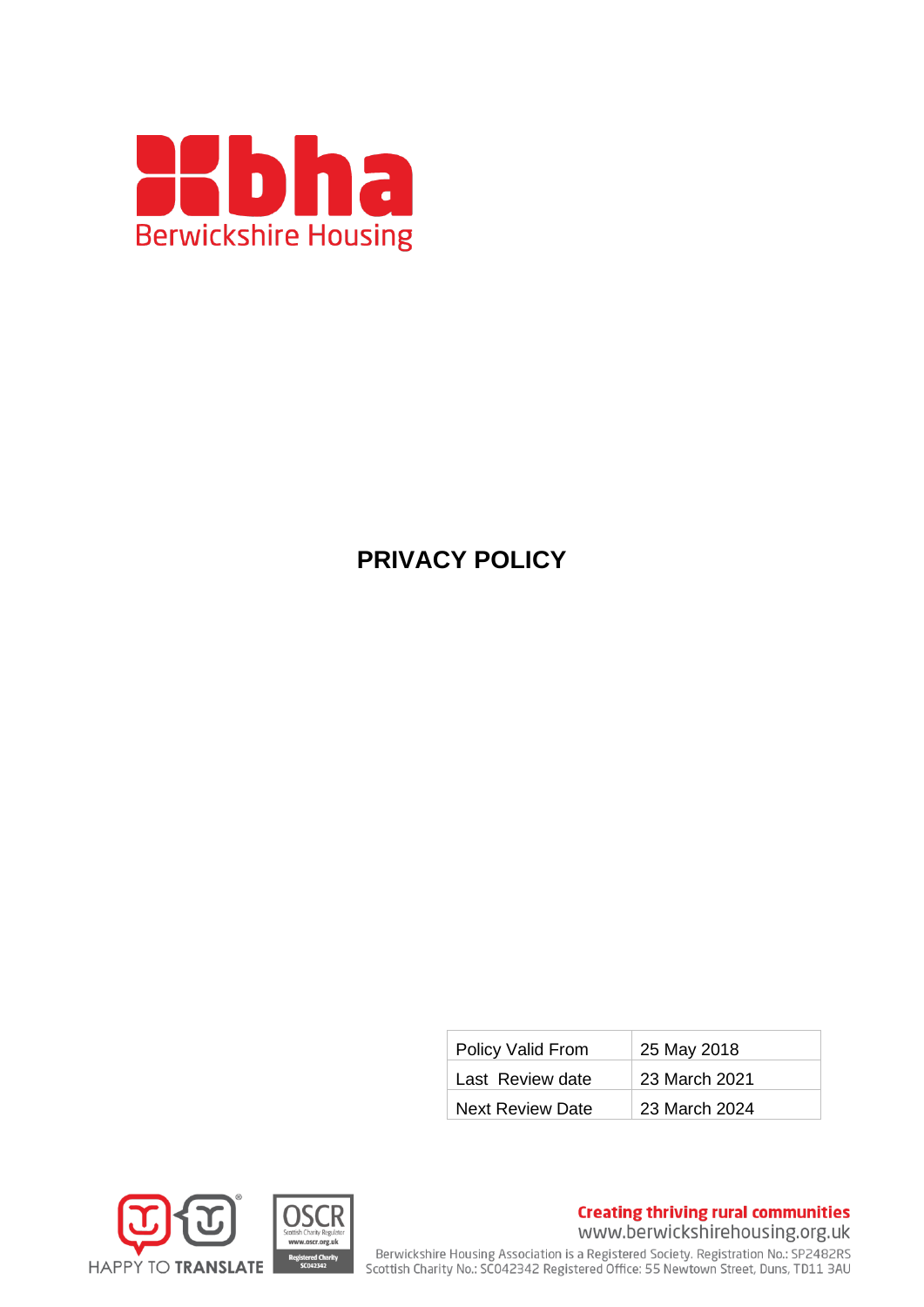

# **PRIVACY POLICY**

| Policy Valid From       | 25 May 2018   |
|-------------------------|---------------|
| Last Review date        | 23 March 2021 |
| <b>Next Review Date</b> | 23 March 2024 |



**Creating thriving rural communities** 

www.berwickshirehousing.org.uk

Berwickshire Housing Association is a Registered Society. Registration No.: SP2482RS<br>Scottish Charity No.: SC042342 Registered Office: 55 Newtown Street, Duns, TD11 3AU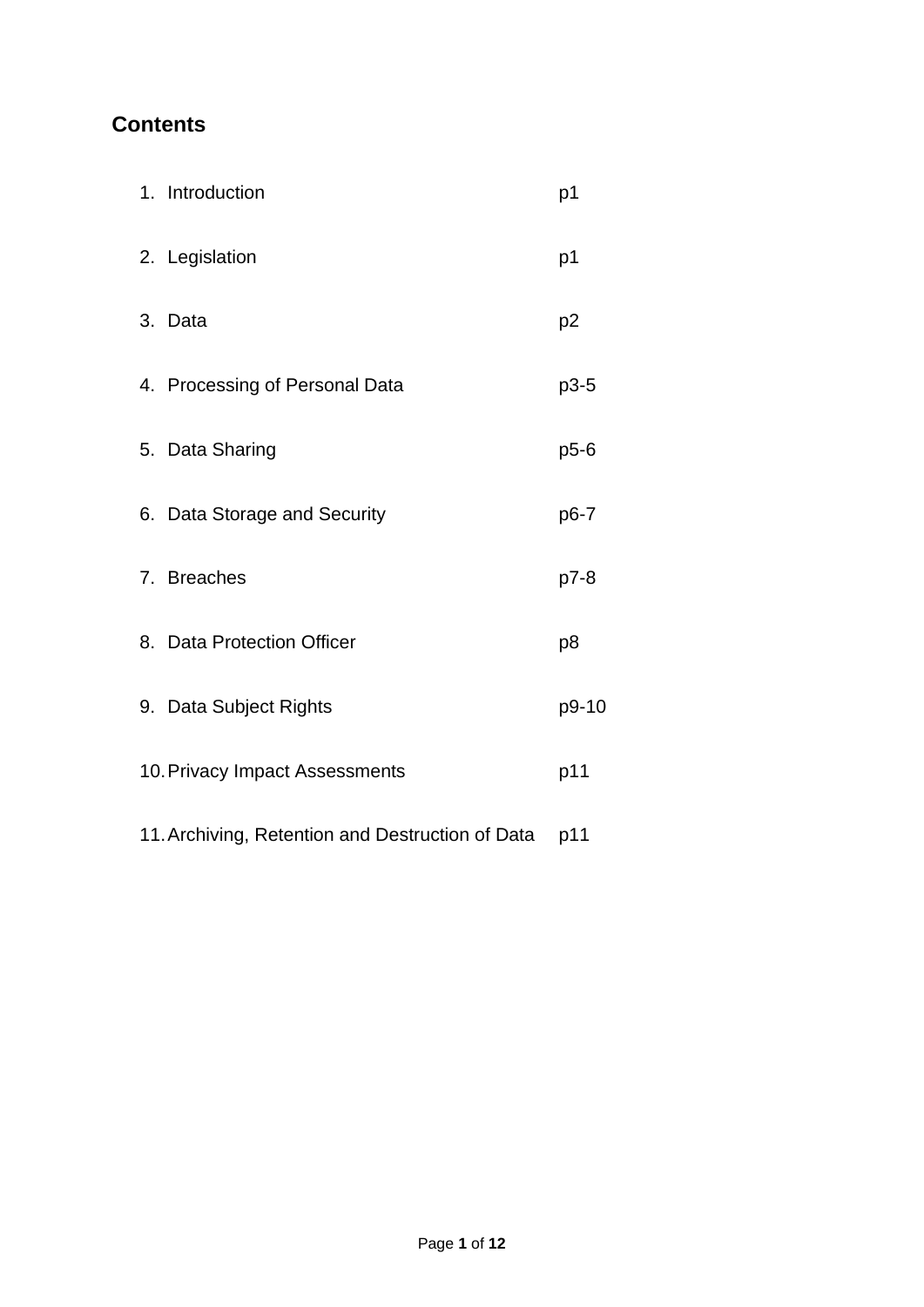# **Contents**

| 1. Introduction                                  | p1             |
|--------------------------------------------------|----------------|
| 2. Legislation                                   | p1             |
| 3. Data                                          | p <sub>2</sub> |
| 4. Processing of Personal Data                   | $p3-5$         |
| 5. Data Sharing                                  | $p5-6$         |
| 6. Data Storage and Security                     | p6-7           |
| 7. Breaches                                      | p7-8           |
| 8. Data Protection Officer                       | p8             |
| 9. Data Subject Rights                           | p9-10          |
| 10. Privacy Impact Assessments                   | p11            |
| 11. Archiving, Retention and Destruction of Data | p11            |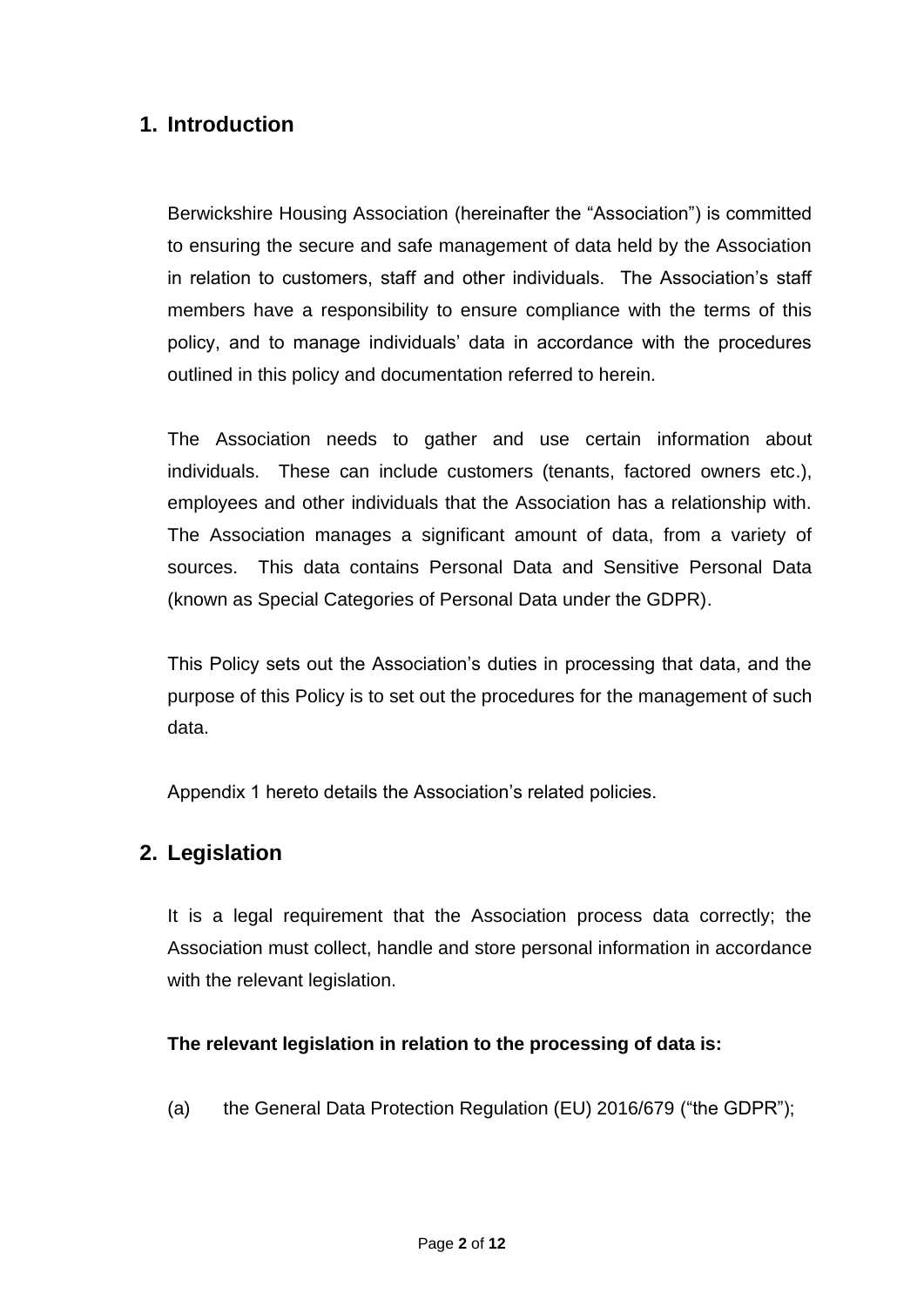# **1. Introduction**

Berwickshire Housing Association (hereinafter the "Association") is committed to ensuring the secure and safe management of data held by the Association in relation to customers, staff and other individuals. The Association's staff members have a responsibility to ensure compliance with the terms of this policy, and to manage individuals' data in accordance with the procedures outlined in this policy and documentation referred to herein.

The Association needs to gather and use certain information about individuals. These can include customers (tenants, factored owners etc.), employees and other individuals that the Association has a relationship with. The Association manages a significant amount of data, from a variety of sources. This data contains Personal Data and Sensitive Personal Data (known as Special Categories of Personal Data under the GDPR).

This Policy sets out the Association's duties in processing that data, and the purpose of this Policy is to set out the procedures for the management of such data.

Appendix 1 hereto details the Association's related policies.

# **2. Legislation**

It is a legal requirement that the Association process data correctly; the Association must collect, handle and store personal information in accordance with the relevant legislation.

## **The relevant legislation in relation to the processing of data is:**

(a) the General Data Protection Regulation (EU) 2016/679 ("the GDPR");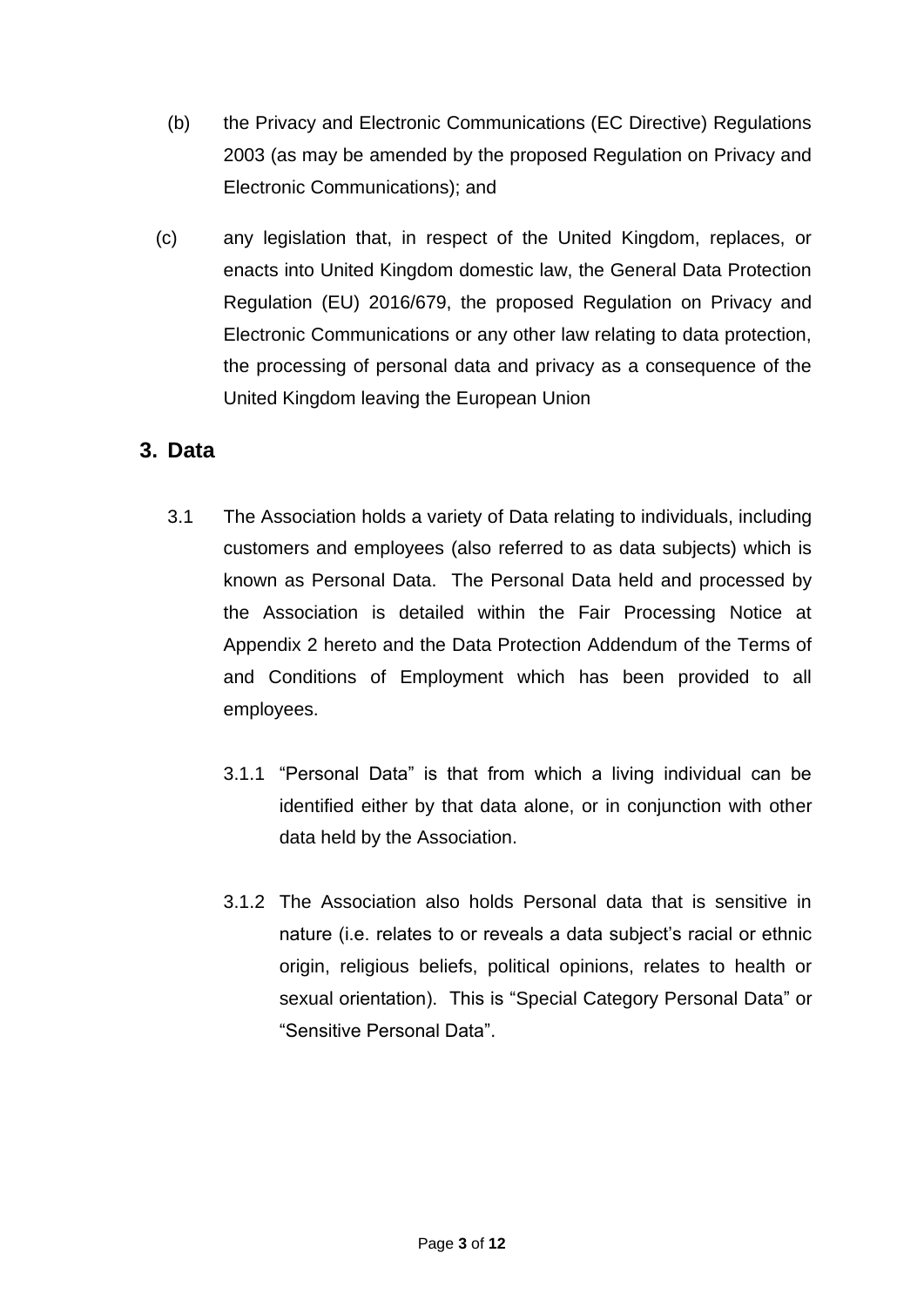- (b) the Privacy and Electronic Communications (EC Directive) Regulations 2003 (as may be amended by the proposed Regulation on Privacy and Electronic Communications); and
- (c) any legislation that, in respect of the United Kingdom, replaces, or enacts into United Kingdom domestic law, the General Data Protection Regulation (EU) 2016/679, the proposed Regulation on Privacy and Electronic Communications or any other law relating to data protection, the processing of personal data and privacy as a consequence of the United Kingdom leaving the European Union

# **3. Data**

- 3.1 The Association holds a variety of Data relating to individuals, including customers and employees (also referred to as data subjects) which is known as Personal Data. The Personal Data held and processed by the Association is detailed within the Fair Processing Notice at Appendix 2 hereto and the Data Protection Addendum of the Terms of and Conditions of Employment which has been provided to all employees.
	- 3.1.1 "Personal Data" is that from which a living individual can be identified either by that data alone, or in conjunction with other data held by the Association.
	- 3.1.2 The Association also holds Personal data that is sensitive in nature (i.e. relates to or reveals a data subject's racial or ethnic origin, religious beliefs, political opinions, relates to health or sexual orientation). This is "Special Category Personal Data" or "Sensitive Personal Data".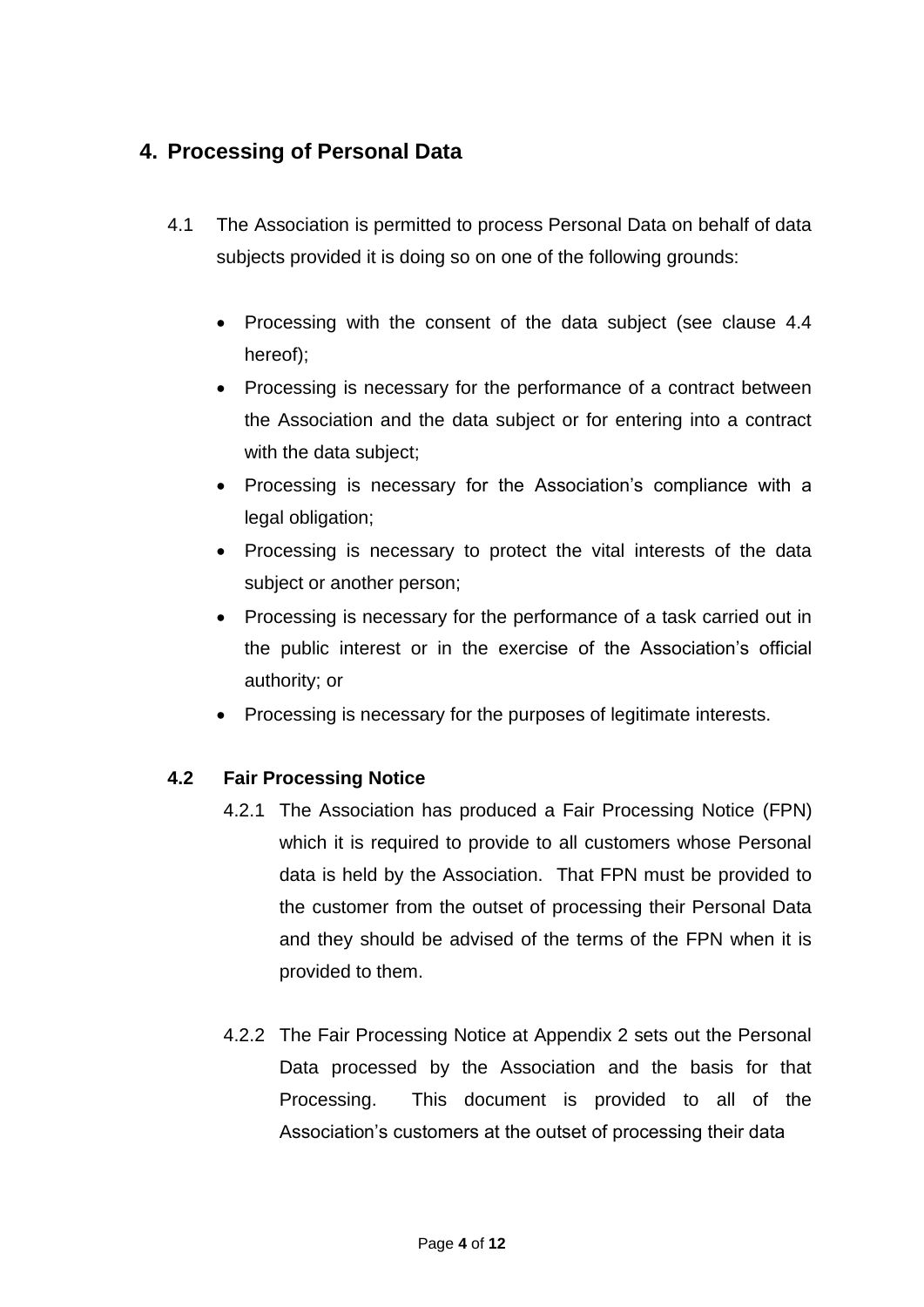# **4. Processing of Personal Data**

- 4.1 The Association is permitted to process Personal Data on behalf of data subjects provided it is doing so on one of the following grounds:
	- Processing with the consent of the data subject (see clause 4.4 hereof);
	- Processing is necessary for the performance of a contract between the Association and the data subject or for entering into a contract with the data subject;
	- Processing is necessary for the Association's compliance with a legal obligation;
	- Processing is necessary to protect the vital interests of the data subject or another person;
	- Processing is necessary for the performance of a task carried out in the public interest or in the exercise of the Association's official authority; or
	- Processing is necessary for the purposes of legitimate interests.

## **4.2 Fair Processing Notice**

- 4.2.1 The Association has produced a Fair Processing Notice (FPN) which it is required to provide to all customers whose Personal data is held by the Association. That FPN must be provided to the customer from the outset of processing their Personal Data and they should be advised of the terms of the FPN when it is provided to them.
- 4.2.2 The Fair Processing Notice at Appendix 2 sets out the Personal Data processed by the Association and the basis for that Processing. This document is provided to all of the Association's customers at the outset of processing their data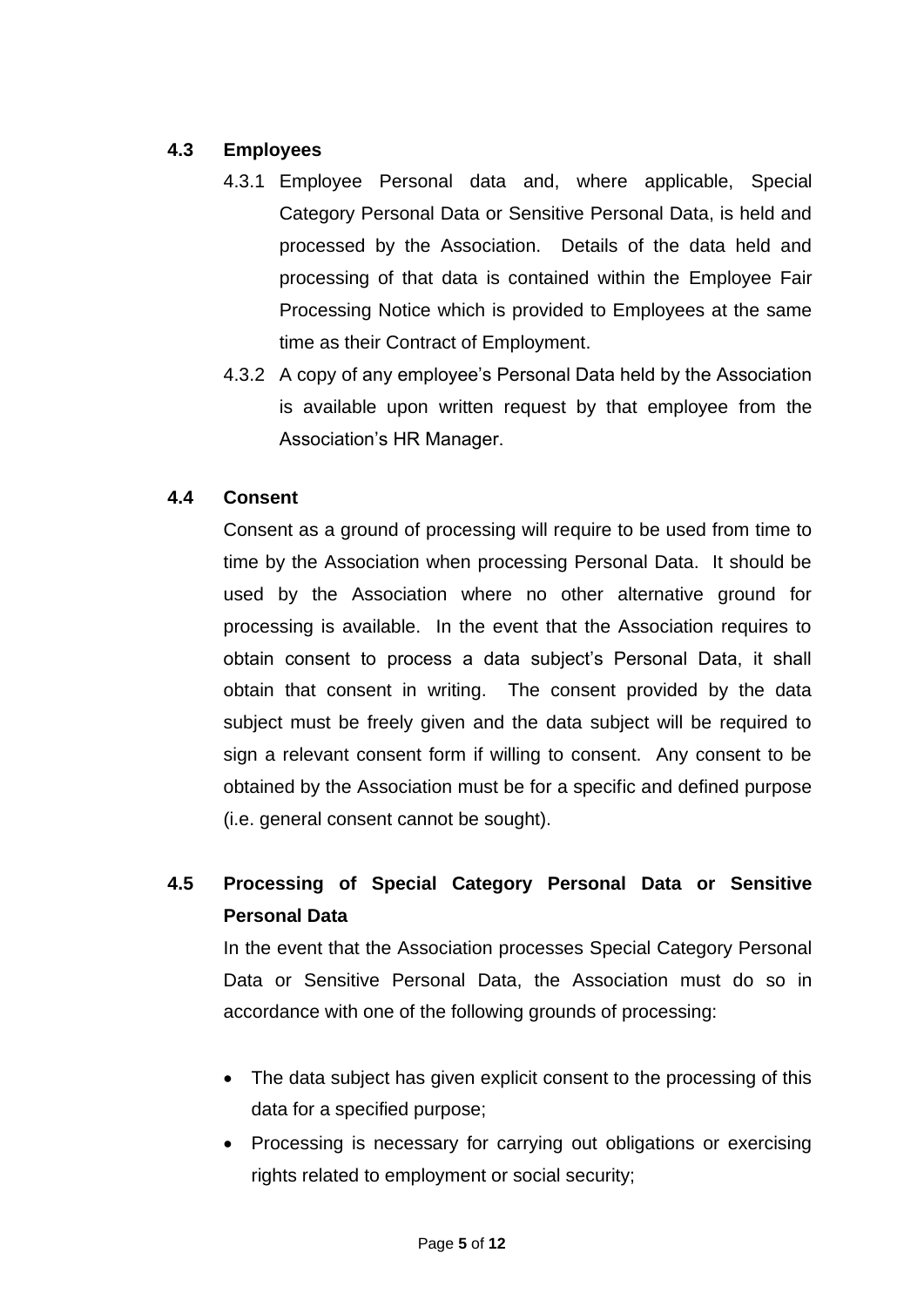## **4.3 Employees**

- 4.3.1 Employee Personal data and, where applicable, Special Category Personal Data or Sensitive Personal Data, is held and processed by the Association. Details of the data held and processing of that data is contained within the Employee Fair Processing Notice which is provided to Employees at the same time as their Contract of Employment.
- 4.3.2 A copy of any employee's Personal Data held by the Association is available upon written request by that employee from the Association's HR Manager.

## **4.4 Consent**

Consent as a ground of processing will require to be used from time to time by the Association when processing Personal Data. It should be used by the Association where no other alternative ground for processing is available. In the event that the Association requires to obtain consent to process a data subject's Personal Data, it shall obtain that consent in writing. The consent provided by the data subject must be freely given and the data subject will be required to sign a relevant consent form if willing to consent. Any consent to be obtained by the Association must be for a specific and defined purpose (i.e. general consent cannot be sought).

# **4.5 Processing of Special Category Personal Data or Sensitive Personal Data**

In the event that the Association processes Special Category Personal Data or Sensitive Personal Data, the Association must do so in accordance with one of the following grounds of processing:

- The data subject has given explicit consent to the processing of this data for a specified purpose;
- Processing is necessary for carrying out obligations or exercising rights related to employment or social security;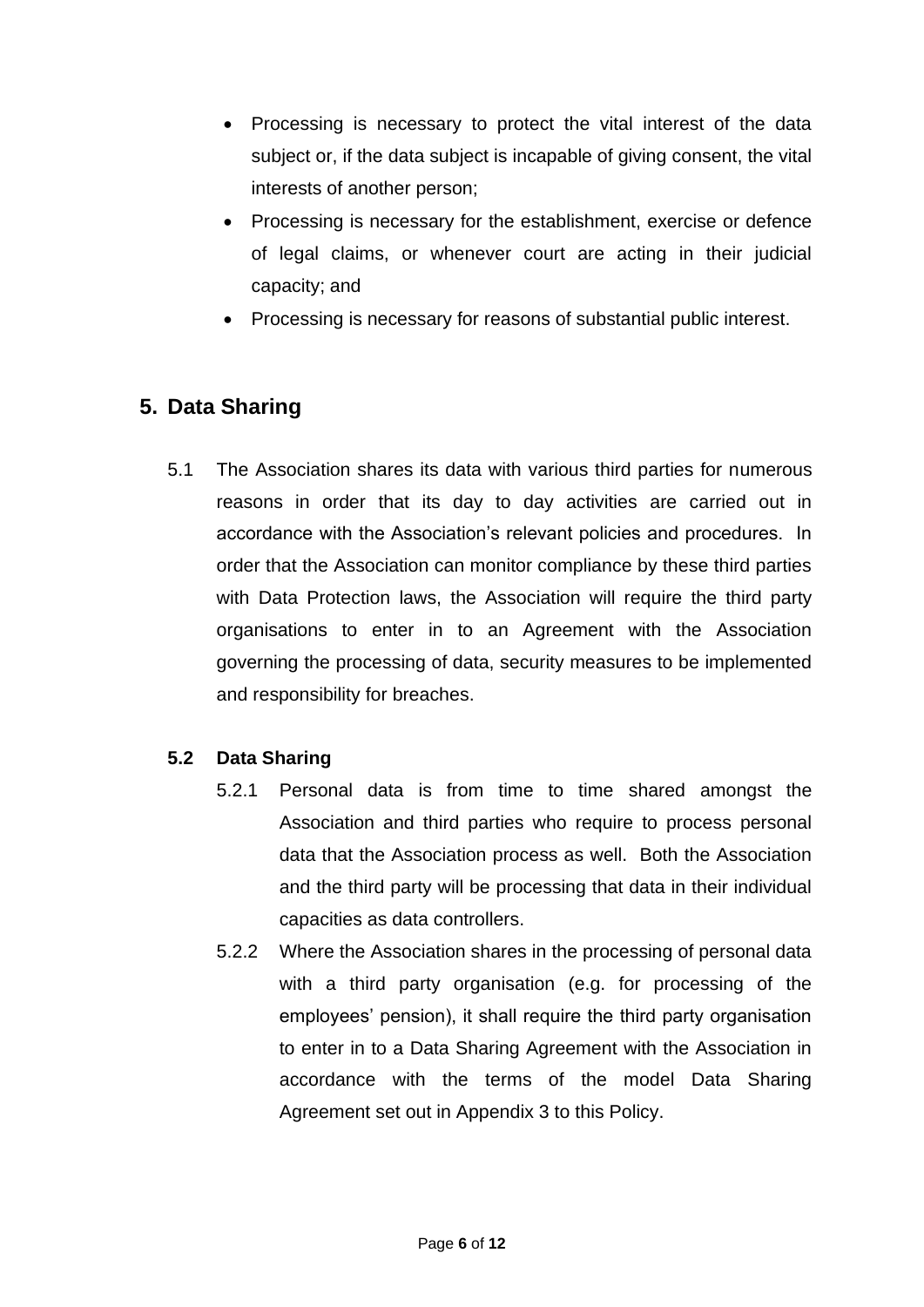- Processing is necessary to protect the vital interest of the data subject or, if the data subject is incapable of giving consent, the vital interests of another person;
- Processing is necessary for the establishment, exercise or defence of legal claims, or whenever court are acting in their judicial capacity; and
- Processing is necessary for reasons of substantial public interest.

# **5. Data Sharing**

5.1 The Association shares its data with various third parties for numerous reasons in order that its day to day activities are carried out in accordance with the Association's relevant policies and procedures. In order that the Association can monitor compliance by these third parties with Data Protection laws, the Association will require the third party organisations to enter in to an Agreement with the Association governing the processing of data, security measures to be implemented and responsibility for breaches.

## **5.2 Data Sharing**

- 5.2.1 Personal data is from time to time shared amongst the Association and third parties who require to process personal data that the Association process as well. Both the Association and the third party will be processing that data in their individual capacities as data controllers.
- 5.2.2 Where the Association shares in the processing of personal data with a third party organisation (e.g. for processing of the employees' pension), it shall require the third party organisation to enter in to a Data Sharing Agreement with the Association in accordance with the terms of the model Data Sharing Agreement set out in Appendix 3 to this Policy.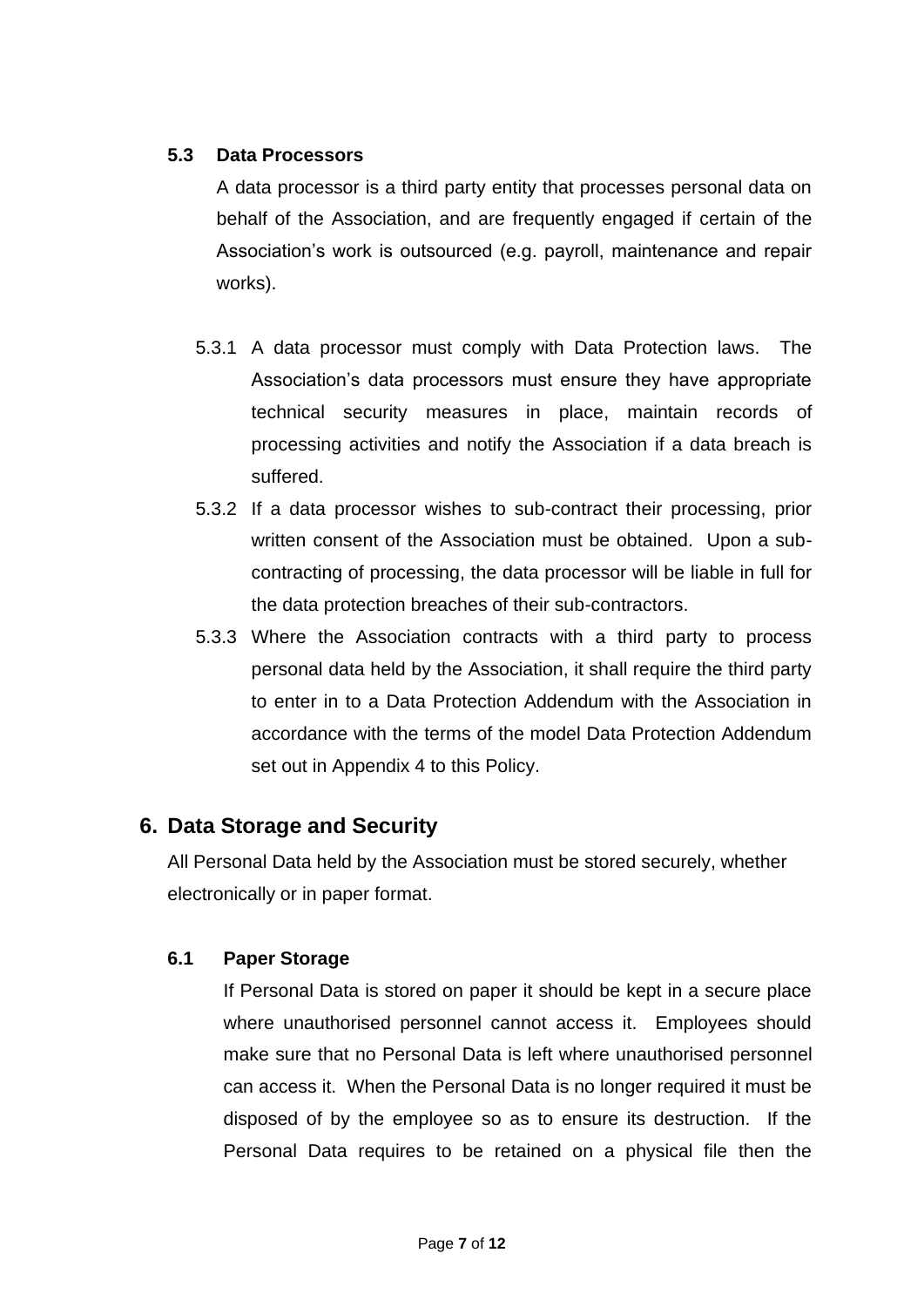#### **5.3 Data Processors**

A data processor is a third party entity that processes personal data on behalf of the Association, and are frequently engaged if certain of the Association's work is outsourced (e.g. payroll, maintenance and repair works).

- 5.3.1 A data processor must comply with Data Protection laws. The Association's data processors must ensure they have appropriate technical security measures in place, maintain records of processing activities and notify the Association if a data breach is suffered.
- 5.3.2 If a data processor wishes to sub-contract their processing, prior written consent of the Association must be obtained. Upon a subcontracting of processing, the data processor will be liable in full for the data protection breaches of their sub-contractors.
- 5.3.3 Where the Association contracts with a third party to process personal data held by the Association, it shall require the third party to enter in to a Data Protection Addendum with the Association in accordance with the terms of the model Data Protection Addendum set out in Appendix 4 to this Policy.

## **6. Data Storage and Security**

All Personal Data held by the Association must be stored securely, whether electronically or in paper format.

## **6.1 Paper Storage**

If Personal Data is stored on paper it should be kept in a secure place where unauthorised personnel cannot access it. Employees should make sure that no Personal Data is left where unauthorised personnel can access it. When the Personal Data is no longer required it must be disposed of by the employee so as to ensure its destruction. If the Personal Data requires to be retained on a physical file then the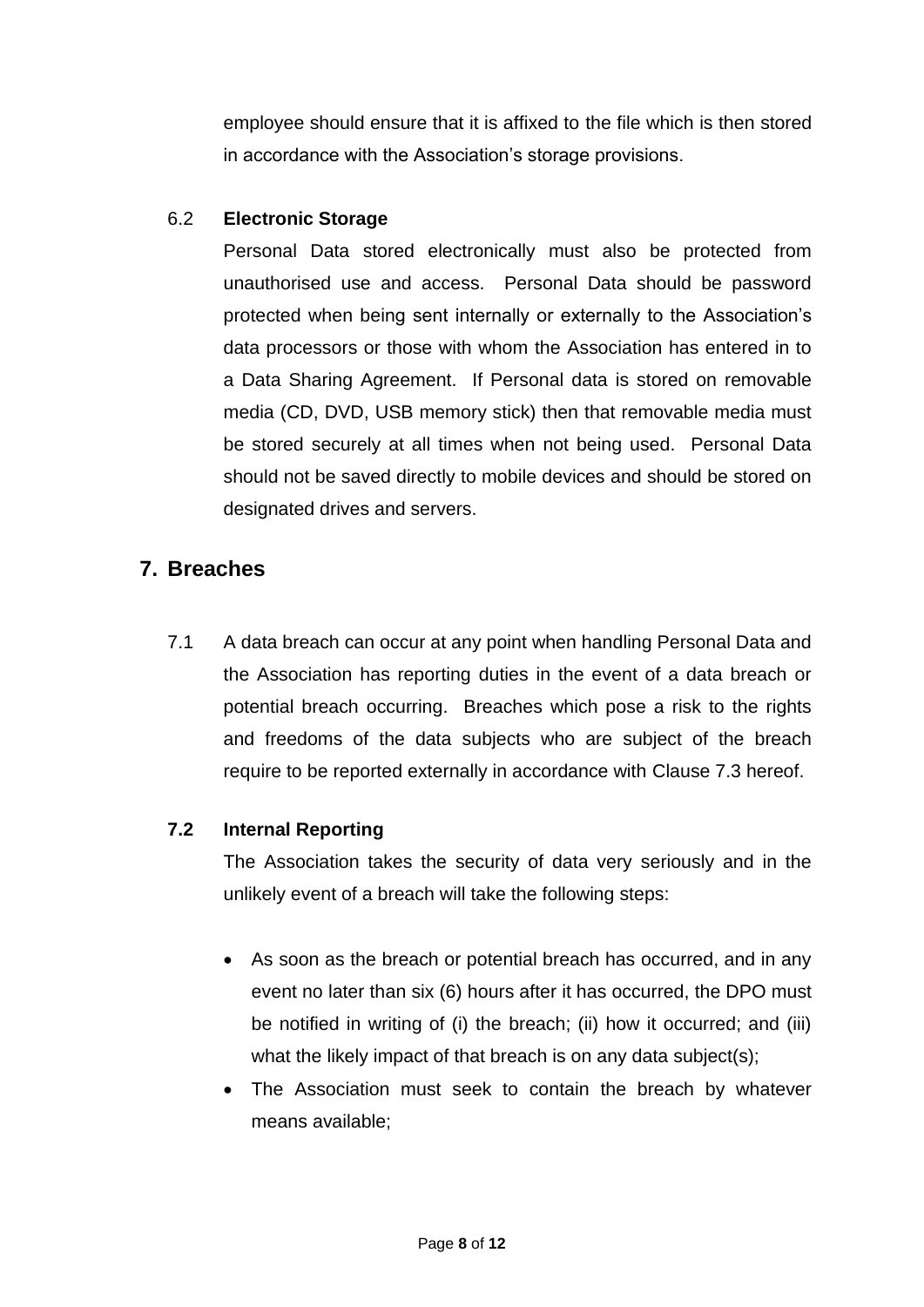employee should ensure that it is affixed to the file which is then stored in accordance with the Association's storage provisions.

## 6.2 **Electronic Storage**

Personal Data stored electronically must also be protected from unauthorised use and access. Personal Data should be password protected when being sent internally or externally to the Association's data processors or those with whom the Association has entered in to a Data Sharing Agreement. If Personal data is stored on removable media (CD, DVD, USB memory stick) then that removable media must be stored securely at all times when not being used. Personal Data should not be saved directly to mobile devices and should be stored on designated drives and servers.

# **7. Breaches**

7.1 A data breach can occur at any point when handling Personal Data and the Association has reporting duties in the event of a data breach or potential breach occurring. Breaches which pose a risk to the rights and freedoms of the data subjects who are subject of the breach require to be reported externally in accordance with Clause 7.3 hereof.

## **7.2 Internal Reporting**

The Association takes the security of data very seriously and in the unlikely event of a breach will take the following steps:

- As soon as the breach or potential breach has occurred, and in any event no later than six (6) hours after it has occurred, the DPO must be notified in writing of (i) the breach; (ii) how it occurred; and (iii) what the likely impact of that breach is on any data subject(s);
- The Association must seek to contain the breach by whatever means available;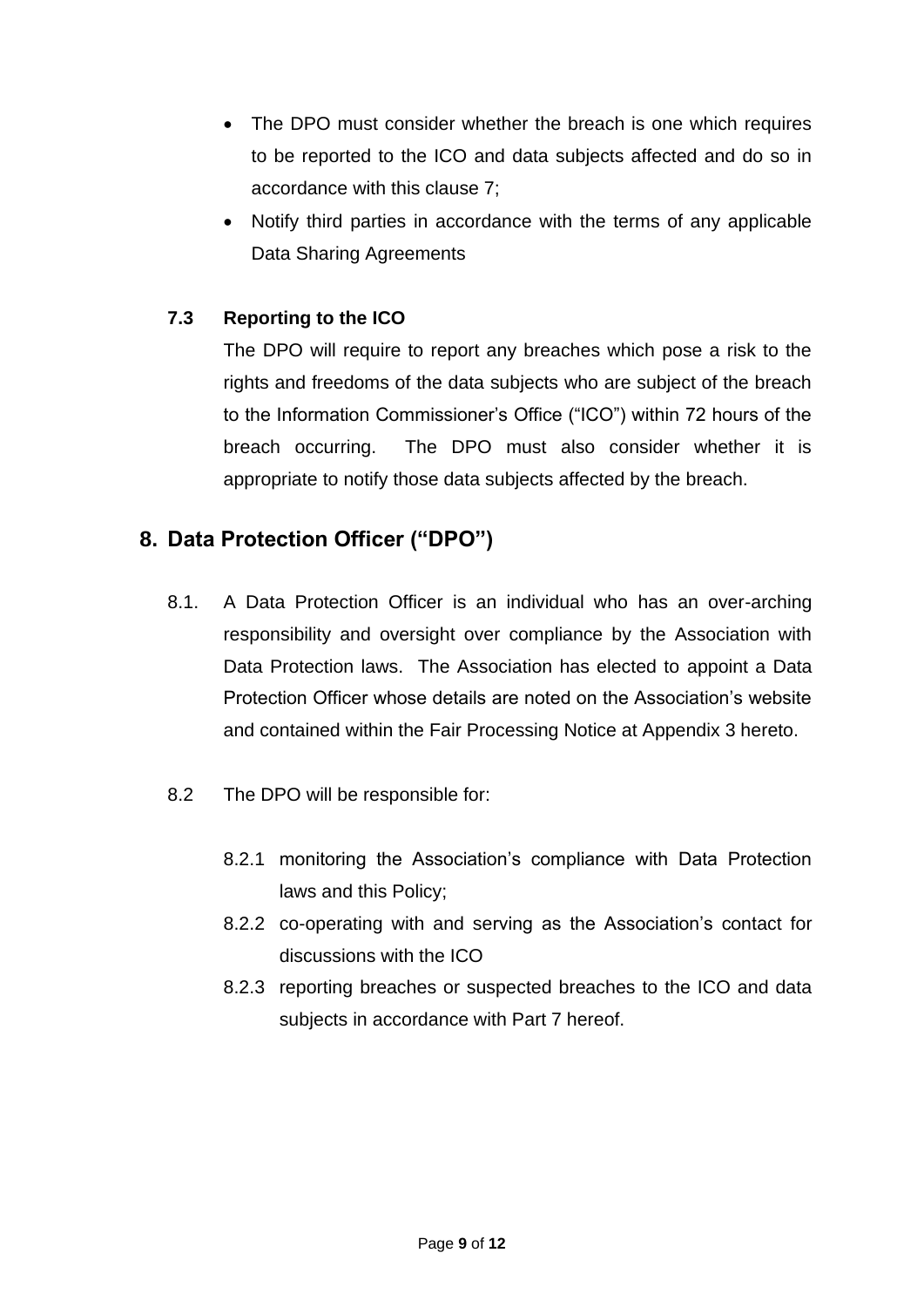- The DPO must consider whether the breach is one which requires to be reported to the ICO and data subjects affected and do so in accordance with this clause 7;
- Notify third parties in accordance with the terms of any applicable Data Sharing Agreements

## **7.3 Reporting to the ICO**

The DPO will require to report any breaches which pose a risk to the rights and freedoms of the data subjects who are subject of the breach to the Information Commissioner's Office ("ICO") within 72 hours of the breach occurring. The DPO must also consider whether it is appropriate to notify those data subjects affected by the breach.

# **8. Data Protection Officer ("DPO")**

- 8.1. A Data Protection Officer is an individual who has an over-arching responsibility and oversight over compliance by the Association with Data Protection laws. The Association has elected to appoint a Data Protection Officer whose details are noted on the Association's website and contained within the Fair Processing Notice at Appendix 3 hereto.
- 8.2 The DPO will be responsible for:
	- 8.2.1 monitoring the Association's compliance with Data Protection laws and this Policy;
	- 8.2.2 co-operating with and serving as the Association's contact for discussions with the ICO
	- 8.2.3 reporting breaches or suspected breaches to the ICO and data subjects in accordance with Part 7 hereof.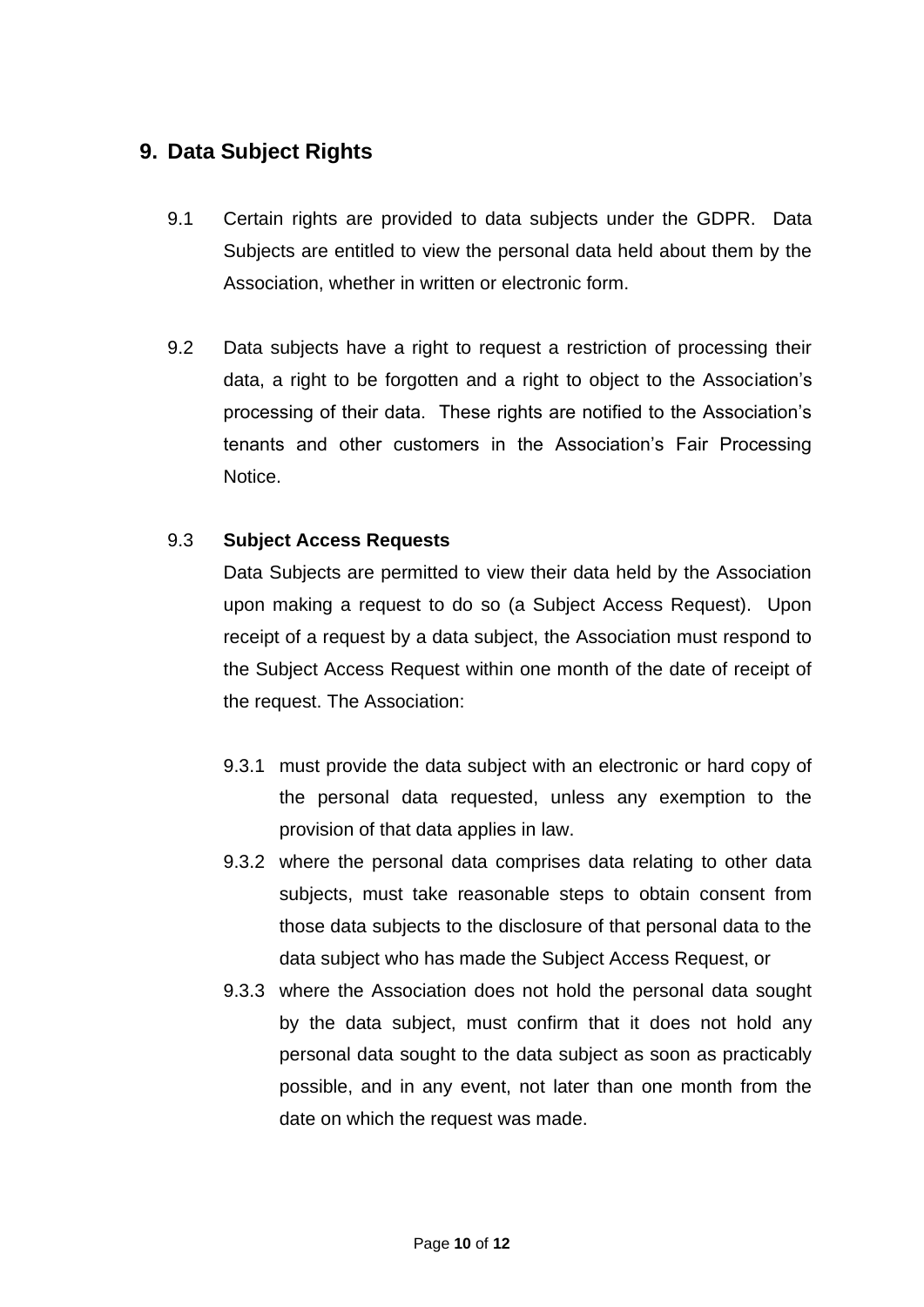# **9. Data Subject Rights**

- 9.1 Certain rights are provided to data subjects under the GDPR. Data Subjects are entitled to view the personal data held about them by the Association, whether in written or electronic form.
- 9.2 Data subjects have a right to request a restriction of processing their data, a right to be forgotten and a right to object to the Association's processing of their data. These rights are notified to the Association's tenants and other customers in the Association's Fair Processing Notice.

#### 9.3 **Subject Access Requests**

Data Subjects are permitted to view their data held by the Association upon making a request to do so (a Subject Access Request). Upon receipt of a request by a data subject, the Association must respond to the Subject Access Request within one month of the date of receipt of the request. The Association:

- 9.3.1 must provide the data subject with an electronic or hard copy of the personal data requested, unless any exemption to the provision of that data applies in law.
- 9.3.2 where the personal data comprises data relating to other data subjects, must take reasonable steps to obtain consent from those data subjects to the disclosure of that personal data to the data subject who has made the Subject Access Request, or
- 9.3.3 where the Association does not hold the personal data sought by the data subject, must confirm that it does not hold any personal data sought to the data subject as soon as practicably possible, and in any event, not later than one month from the date on which the request was made.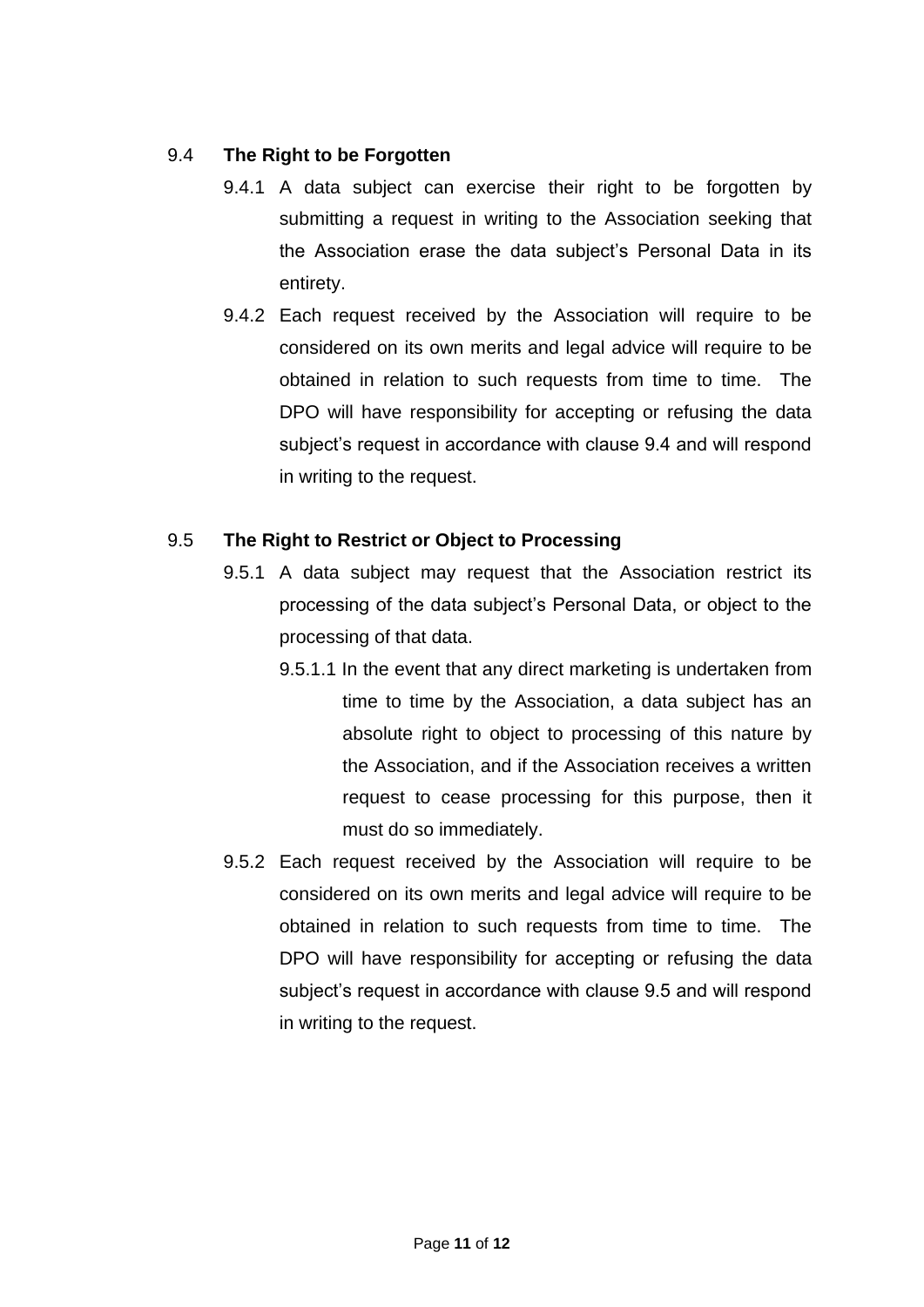#### 9.4 **The Right to be Forgotten**

- 9.4.1 A data subject can exercise their right to be forgotten by submitting a request in writing to the Association seeking that the Association erase the data subject's Personal Data in its entirety.
- 9.4.2 Each request received by the Association will require to be considered on its own merits and legal advice will require to be obtained in relation to such requests from time to time. The DPO will have responsibility for accepting or refusing the data subject's request in accordance with clause 9.4 and will respond in writing to the request.

#### 9.5 **The Right to Restrict or Object to Processing**

- 9.5.1 A data subject may request that the Association restrict its processing of the data subject's Personal Data, or object to the processing of that data.
	- 9.5.1.1 In the event that any direct marketing is undertaken from time to time by the Association, a data subject has an absolute right to object to processing of this nature by the Association, and if the Association receives a written request to cease processing for this purpose, then it must do so immediately.
- 9.5.2 Each request received by the Association will require to be considered on its own merits and legal advice will require to be obtained in relation to such requests from time to time. The DPO will have responsibility for accepting or refusing the data subject's request in accordance with clause 9.5 and will respond in writing to the request.